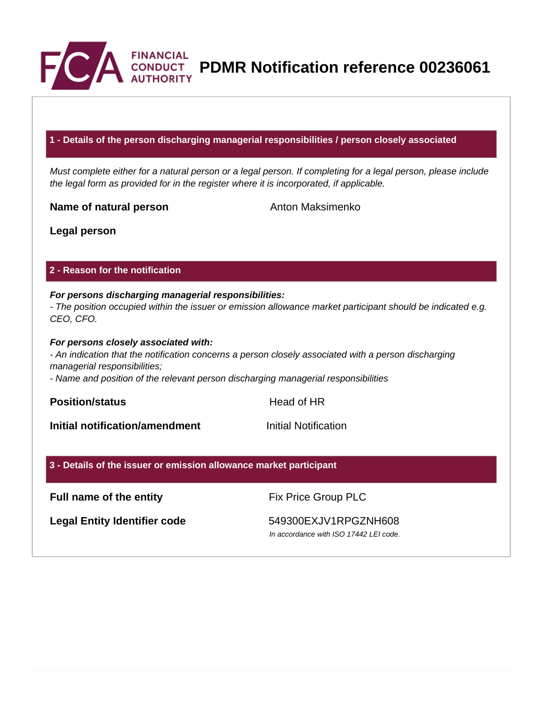

**PDMR Notification reference 00236061**

#### **1 - Details of the person discharging managerial responsibilities / person closely associated**

Must complete either for a natural person or a legal person. If completing for a legal person, please include the legal form as provided for in the register where it is incorporated, if applicable.

**Name of natural person** Anton Maksimenko

**Legal person**

#### **2 - Reason for the notification**

# **For persons discharging managerial responsibilities:**

- The position occupied within the issuer or emission allowance market participant should be indicated e.g. CEO, CFO.

#### **For persons closely associated with:**

- An indication that the notification concerns a person closely associated with a person discharging managerial responsibilities;

- Name and position of the relevant person discharging managerial responsibilities

**Position/status Head of HR** 

**Initial notification/amendment Initial Notification** 

#### **3 - Details of the issuer or emission allowance market participant**

## **Full name of the entity** Fix Price Group PLC

Legal Entity Identifier code 549300EXJV1RPGZNH608

In accordance with ISO 17442 LEI code.